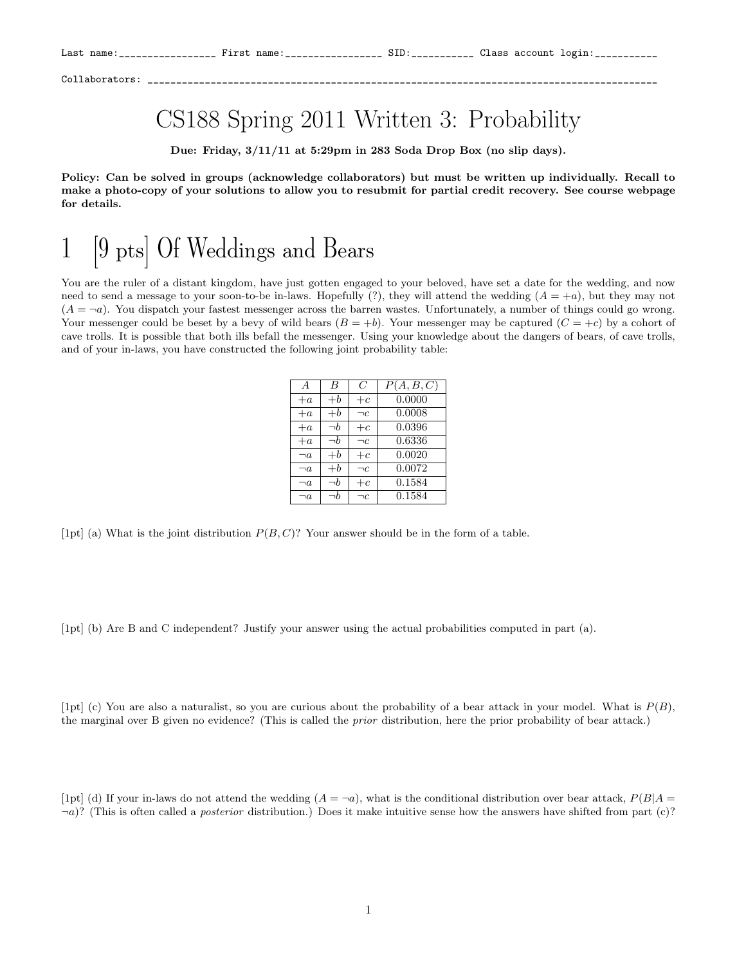## CS188 Spring 2011 Written 3: Probability

Due: Friday, 3/11/11 at 5:29pm in 283 Soda Drop Box (no slip days).

Policy: Can be solved in groups (acknowledge collaborators) but must be written up individually. Recall to make a photo-copy of your solutions to allow you to resubmit for partial credit recovery. See course webpage for details.

## 1 [9 pts] Of Weddings and Bears

You are the ruler of a distant kingdom, have just gotten engaged to your beloved, have set a date for the wedding, and now need to send a message to your soon-to-be in-laws. Hopefully  $(?)$ , they will attend the wedding  $(A = +a)$ , but they may not  $(A = \neg a)$ . You dispatch your fastest messenger across the barren wastes. Unfortunately, a number of things could go wrong. Your messenger could be beset by a bevy of wild bears  $(B = +b)$ . Your messenger may be captured  $(C = +c)$  by a cohort of cave trolls. It is possible that both ills befall the messenger. Using your knowledge about the dangers of bears, of cave trolls, and of your in-laws, you have constructed the following joint probability table:

| $\overline{A}$ | B        | C        | P(A, B, C) |
|----------------|----------|----------|------------|
| $+a$           | $+ b$    | $+c$     | 0.0000     |
| $+a$           | $+ b$    | $\neg c$ | 0.0008     |
| $+a$           | $\neg b$ | $+c$     | 0.0396     |
| $+a$           | $\neg b$ | $\neg c$ | 0.6336     |
| $\neg a$       | $+ b$    | $+c$     | 0.0020     |
| $\neg a$       | $+ b$    | $\neg c$ | 0.0072     |
| $\neg a$       | $\neg b$ | $+c$     | 0.1584     |
| $\neg a$       | $\neg h$ | $\neg c$ | 0.1584     |

[1pt] (a) What is the joint distribution  $P(B, C)$ ? Your answer should be in the form of a table.

[1pt] (b) Are B and C independent? Justify your answer using the actual probabilities computed in part (a).

[1pt] (c) You are also a naturalist, so you are curious about the probability of a bear attack in your model. What is  $P(B)$ , the marginal over B given no evidence? (This is called the *prior* distribution, here the prior probability of bear attack.)

[1pt] (d) If your in-laws do not attend the wedding  $(A = \neg a)$ , what is the conditional distribution over bear attack,  $P(B|A = \neg a)$  $\neg a$ ? (This is often called a *posterior* distribution.) Does it make intuitive sense how the answers have shifted from part (c)?